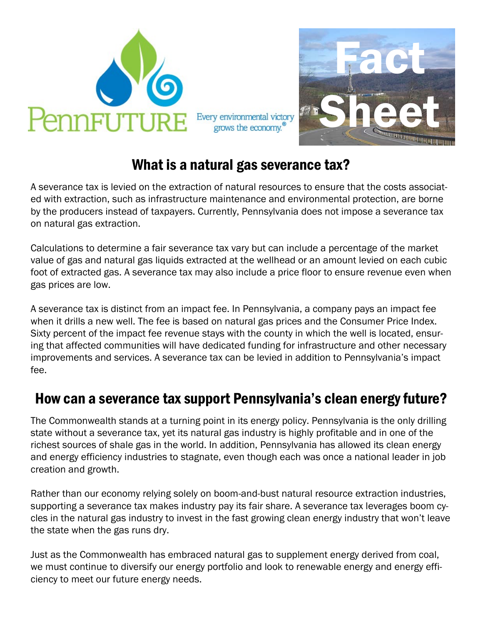

Every environmental victory grows the economy.<sup>®</sup>



## What is a natural gas severance tax?

A severance tax is levied on the extraction of natural resources to ensure that the costs associated with extraction, such as infrastructure maintenance and environmental protection, are borne by the producers instead of taxpayers. Currently, Pennsylvania does not impose a severance tax on natural gas extraction.

Calculations to determine a fair severance tax vary but can include a percentage of the market value of gas and natural gas liquids extracted at the wellhead or an amount levied on each cubic foot of extracted gas. A severance tax may also include a price floor to ensure revenue even when gas prices are low.

A severance tax is distinct from an impact fee. In Pennsylvania, a company pays an impact fee when it drills a new well. The fee is based on natural gas prices and the Consumer Price Index. Sixty percent of the impact fee revenue stays with the county in which the well is located, ensuring that affected communities will have dedicated funding for infrastructure and other necessary improvements and services. A severance tax can be levied in addition to Pennsylvania's impact fee.

### How can a severance tax support Pennsylvania's clean energy future?

The Commonwealth stands at a turning point in its energy policy. Pennsylvania is the only drilling state without a severance tax, yet its natural gas industry is highly profitable and in one of the richest sources of shale gas in the world. In addition, Pennsylvania has allowed its clean energy and energy efficiency industries to stagnate, even though each was once a national leader in job creation and growth.

Rather than our economy relying solely on boom-and-bust natural resource extraction industries, supporting a severance tax makes industry pay its fair share. A severance tax leverages boom cycles in the natural gas industry to invest in the fast growing clean energy industry that won't leave the state when the gas runs dry.

Just as the Commonwealth has embraced natural gas to supplement energy derived from coal, we must continue to diversify our energy portfolio and look to renewable energy and energy efficiency to meet our future energy needs.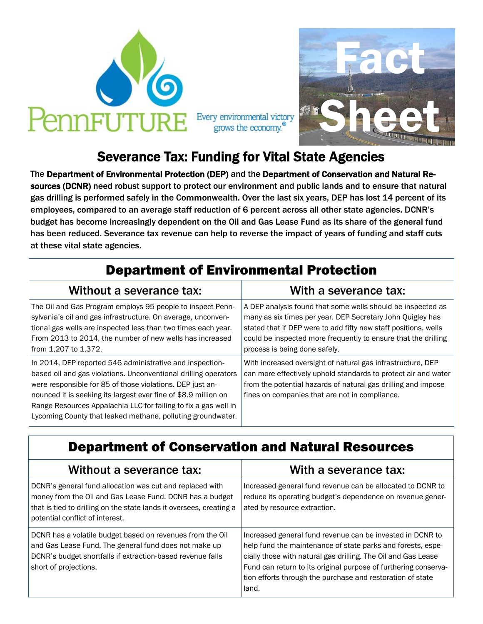

Fact Sheet Every environmental victory grows the economy.<sup>®</sup>

# Severance Tax: Funding for Vital State Agencies

The Department of Environmental Protection (DEP) and the Department of Conservation and Natural Resources (DCNR) need robust support to protect our environment and public lands and to ensure that natural gas drilling is performed safely in the Commonwealth. Over the last six years, DEP has lost 14 percent of its employees, compared to an average staff reduction of 6 percent across all other state agencies. DCNR's budget has become increasingly dependent on the Oil and Gas Lease Fund as its share of the general fund has been reduced. Severance tax revenue can help to reverse the impact of years of funding and staff cuts at these vital state agencies.

| <b>Department of Environmental Protection</b>                                                                                                                                                                                                                                                                                                                                                 |                                                                                                                                                                                                                                                                                                 |
|-----------------------------------------------------------------------------------------------------------------------------------------------------------------------------------------------------------------------------------------------------------------------------------------------------------------------------------------------------------------------------------------------|-------------------------------------------------------------------------------------------------------------------------------------------------------------------------------------------------------------------------------------------------------------------------------------------------|
| Without a severance tax:                                                                                                                                                                                                                                                                                                                                                                      | With a severance tax:                                                                                                                                                                                                                                                                           |
| The Oil and Gas Program employs 95 people to inspect Penn-<br>sylvania's oil and gas infrastructure. On average, unconven-<br>tional gas wells are inspected less than two times each year.<br>From 2013 to 2014, the number of new wells has increased<br>from 1,207 to 1,372.                                                                                                               | A DEP analysis found that some wells should be inspected as<br>many as six times per year. DEP Secretary John Quigley has<br>stated that if DEP were to add fifty new staff positions, wells<br>could be inspected more frequently to ensure that the drilling<br>process is being done safely. |
| In 2014, DEP reported 546 administrative and inspection-<br>based oil and gas violations. Unconventional drilling operators<br>were responsible for 85 of those violations. DEP just an-<br>nounced it is seeking its largest ever fine of \$8.9 million on<br>Range Resources Appalachia LLC for failing to fix a gas well in<br>Lycoming County that leaked methane, polluting groundwater. | With increased oversight of natural gas infrastructure, DEP<br>can more effectively uphold standards to protect air and water<br>from the potential hazards of natural gas drilling and impose<br>fines on companies that are not in compliance.                                                |

#### Department of Conservation and Natural Resources

| Without a severance tax:                                                                                                                                                                                                       | With a severance tax:                                                                                                                                                                                                                                                                                                               |
|--------------------------------------------------------------------------------------------------------------------------------------------------------------------------------------------------------------------------------|-------------------------------------------------------------------------------------------------------------------------------------------------------------------------------------------------------------------------------------------------------------------------------------------------------------------------------------|
| DCNR's general fund allocation was cut and replaced with<br>money from the Oil and Gas Lease Fund. DCNR has a budget<br>that is tied to drilling on the state lands it oversees, creating a<br>potential conflict of interest. | Increased general fund revenue can be allocated to DCNR to<br>reduce its operating budget's dependence on revenue gener-<br>ated by resource extraction.                                                                                                                                                                            |
| DCNR has a volatile budget based on revenues from the Oil<br>and Gas Lease Fund. The general fund does not make up<br>DCNR's budget shortfalls if extraction-based revenue falls<br>short of projections.                      | Increased general fund revenue can be invested in DCNR to<br>help fund the maintenance of state parks and forests, espe-<br>cially those with natural gas drilling. The Oil and Gas Lease<br>Fund can return to its original purpose of furthering conserva-<br>tion efforts through the purchase and restoration of state<br>land. |